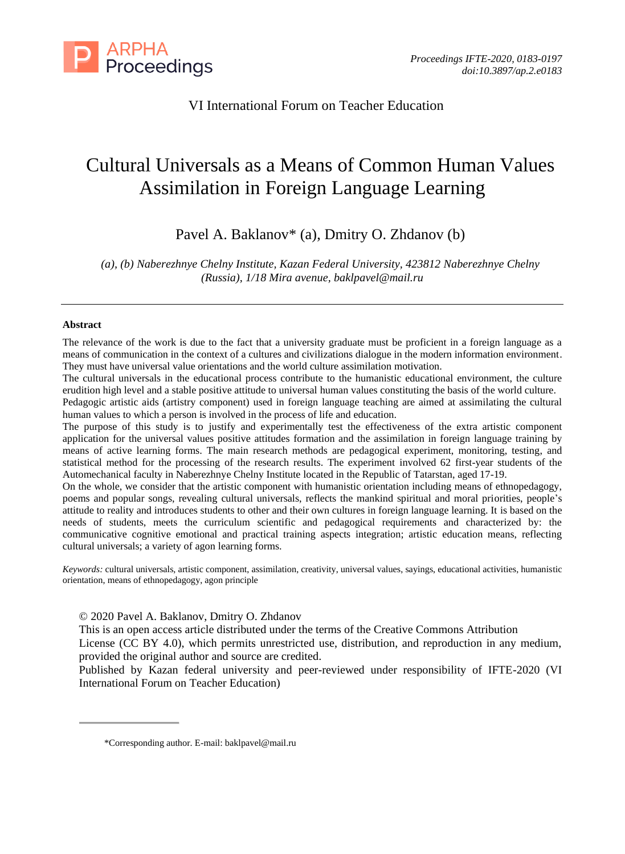

VI International Forum on Teacher Education

# Cultural Universals as a Means of Common Human Values Assimilation in Foreign Language Learning

Pavel A. Baklanov\* (a), Dmitry O. Zhdanov (b)

*(a), (b) Naberezhnye Chelny Institute, Kazan Federal University, 423812 Naberezhnye Chelny (Russia), 1/18 Mira avenue, [baklpavel@mail.ru](mailto:baklpavel@mail.ru)*

#### **Abstract**

The relevance of the work is due to the fact that a university graduate must be proficient in a foreign language as a means of communication in the context of a cultures and civilizations dialogue in the modern information environment. They must have universal value orientations and the world culture assimilation motivation.

The cultural universals in the educational process contribute to the humanistic educational environment, the culture erudition high level and a stable positive attitude to universal human values constituting the basis of the world culture. Pedagogic artistic aids (artistry component) used in foreign language teaching are aimed at assimilating the cultural human values to which a person is involved in the process of life and education.

The purpose of this study is to justify and experimentally test the effectiveness of the extra artistic component application for the universal values positive attitudes formation and the assimilation in foreign language training by means of active learning forms. The main research methods are pedagogical experiment, monitoring, testing, and statistical method for the processing of the research results. The experiment involved 62 first-year students of the Automechanical faculty in Naberezhnye Chelny Institute located in the Republic of Tatarstan, aged 17-19.

On the whole, we consider that the artistic component with humanistic orientation including means of ethnopedagogy, poems and popular songs, revealing cultural universals, reflects the mankind spiritual and moral priorities, people's attitude to reality and introduces students to other and their own cultures in foreign language learning. It is based on the needs of students, meets the curriculum scientific and pedagogical requirements and characterized by: the communicative cognitive emotional and practical training aspects integration; artistic education means, reflecting cultural universals; a variety of agon learning forms.

*Keywords:* cultural universals, artistic component, assimilation, creativity, universal values, sayings, educational activities, humanistic orientation, means of ethnopedagogy, agon principle

© 2020 Pavel A. Baklanov, Dmitry O. Zhdanov

This is an open access article distributed under the terms of the Creative Commons Attribution

License (CC BY 4.0), which permits unrestricted use, distribution, and reproduction in any medium, provided the original author and source are credited.

Published by Kazan federal university and peer-reviewed under responsibility of IFTE-2020 (VI International Forum on Teacher Education)

<sup>\*</sup>Corresponding author. E-mail: [baklpavel@mail.ru](mailto:baklpavel@mail.ru)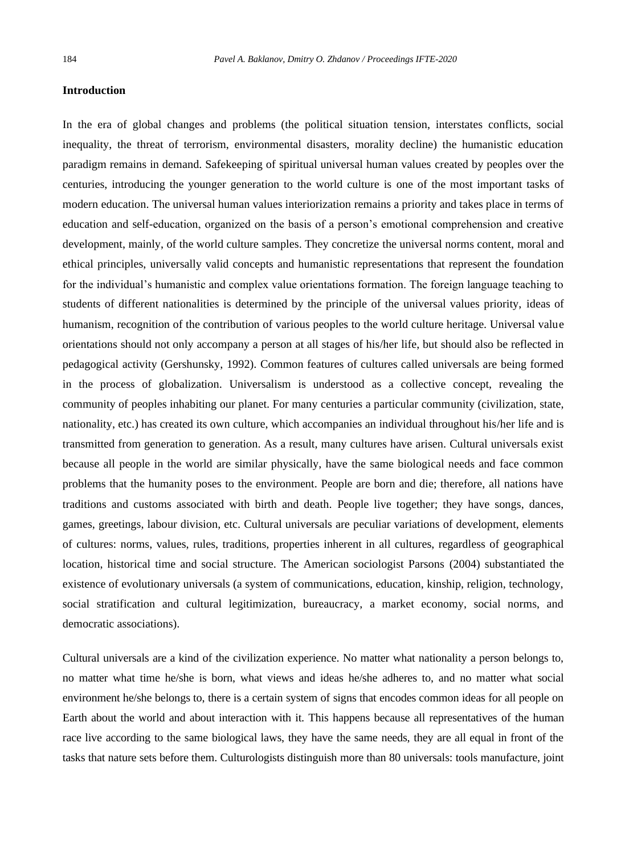#### **Introduction**

In the era of global changes and problems (the political situation tension, interstates conflicts, social inequality, the threat of terrorism, environmental disasters, morality decline) the humanistic education paradigm remains in demand. Safekeeping of spiritual universal human values created by peoples over the centuries, introducing the younger generation to the world culture is one of the most important tasks of modern education. The universal human values interiorization remains a priority and takes place in terms of education and self-education, organized on the basis of a person's emotional comprehension and creative development, mainly, of the world culture samples. They concretize the universal norms content, moral and ethical principles, universally valid concepts and humanistic representations that represent the foundation for the individual's humanistic and complex value orientations formation. The foreign language teaching to students of different nationalities is determined by the principle of the universal values priority, ideas of humanism, recognition of the contribution of various peoples to the world culture heritage. Universal value orientations should not only accompany a person at all stages of his/her life, but should also be reflected in pedagogical activity (Gershunsky, 1992). Common features of cultures called universals are being formed in the process of globalization. Universalism is understood as a collective concept, revealing the community of peoples inhabiting our planet. For many centuries a particular community (civilization, state, nationality, etc.) has created its own culture, which accompanies an individual throughout his/her life and is transmitted from generation to generation. As a result, many cultures have arisen. Cultural universals exist because all people in the world are similar physically, have the same biological needs and face common problems that the humanity poses to the environment. People are born and die; therefore, all nations have traditions and customs associated with birth and death. People live together; they have songs, dances, games, greetings, labour division, etc. Cultural universals are peculiar variations of development, elements of cultures: norms, values, rules, traditions, properties inherent in all cultures, regardless of geographical location, historical time and social structure. The American sociologist Parsons (2004) substantiated the existence of evolutionary universals (a system of communications, education, kinship, religion, technology, social stratification and cultural legitimization, bureaucracy, a market economy, social norms, and democratic associations).

Cultural universals are a kind of the civilization experience. No matter what nationality a person belongs to, no matter what time he/she is born, what views and ideas he/she adheres to, and no matter what social environment he/she belongs to, there is a certain system of signs that encodes common ideas for all people on Earth about the world and about interaction with it. This happens because all representatives of the human race live according to the same biological laws, they have the same needs, they are all equal in front of the tasks that nature sets before them. Culturologists distinguish more than 80 universals: tools manufacture, joint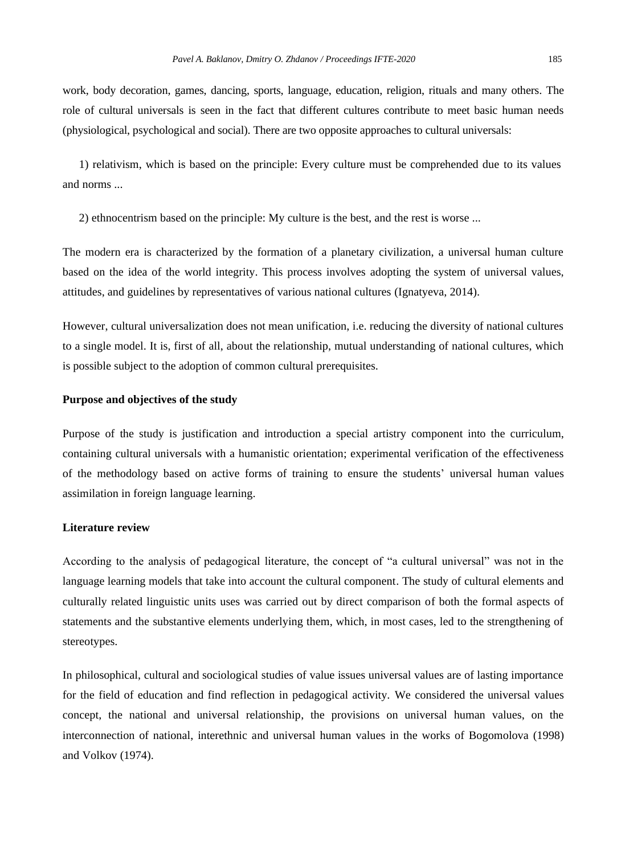work, body decoration, games, dancing, sports, language, education, religion, rituals and many others. The role of cultural universals is seen in the fact that different cultures contribute to meet basic human needs (physiological, psychological and social). There are two opposite approaches to cultural universals:

1) relativism, which is based on the principle: Every culture must be comprehended due to its values and norms ...

2) ethnocentrism based on the principle: My culture is the best, and the rest is worse ...

The modern era is characterized by the formation of a planetary civilization, a universal human culture based on the idea of the world integrity. This process involves adopting the system of universal values, attitudes, and guidelines by representatives of various national cultures (Ignatyeva, 2014).

However, cultural universalization does not mean unification, i.e. reducing the diversity of national cultures to a single model. It is, first of all, about the relationship, mutual understanding of national cultures, which is possible subject to the adoption of common cultural prerequisites.

#### **Purpose and objectives of the study**

Purpose of the study is justification and introduction a special artistry component into the curriculum, containing cultural universals with a humanistic orientation; experimental verification of the effectiveness of the methodology based on active forms of training to ensure the students' universal human values assimilation in foreign language learning.

#### **Literature review**

According to the analysis of pedagogical literature, the concept of "a cultural universal" was not in the language learning models that take into account the cultural component. The study of cultural elements and culturally related linguistic units uses was carried out by direct comparison of both the formal aspects of statements and the substantive elements underlying them, which, in most cases, led to the strengthening of stereotypes.

In philosophical, cultural and sociological studies of value issues universal values are of lasting importance for the field of education and find reflection in pedagogical activity. We considered the universal values concept, the national and universal relationship, the provisions on universal human values, on the interconnection of national, interethnic and universal human values in the works of Bogomolova (1998) and Volkov (1974).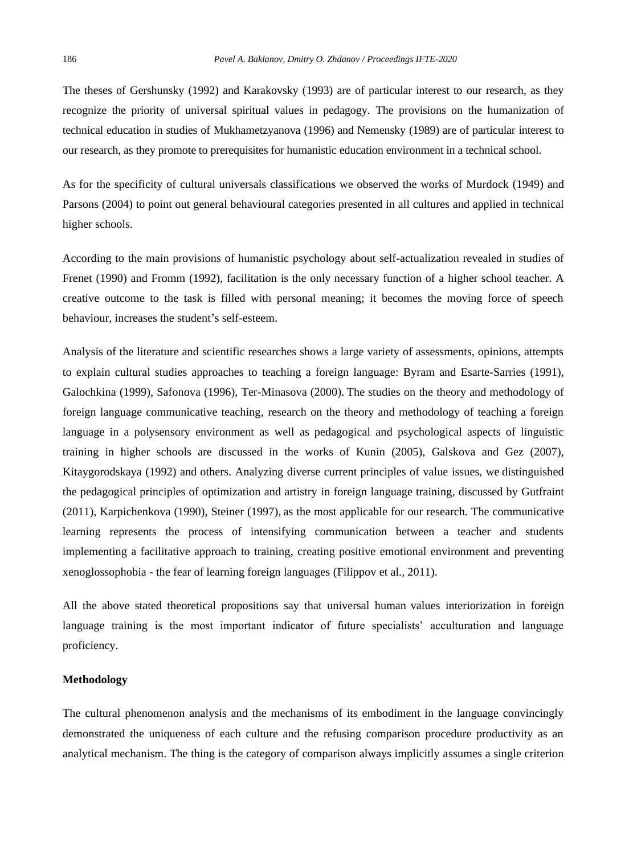The theses of Gershunsky (1992) and Karakovsky (1993) are of particular interest to our research, as they recognize the priority of universal spiritual values in pedagogy. The provisions on the humanization of technical education in studies of Mukhametzyanova (1996) and Nemensky (1989) are of particular interest to our research, as they promote to prerequisites for humanistic education environment in a technical school.

As for the specificity of cultural universals classifications we observed the works of Murdock (1949) and Parsons (2004) to point out general behavioural categories presented in all cultures and applied in technical higher schools.

According to the main provisions of humanistic psychology about self-actualization revealed in studies of Frenet (1990) and Fromm (1992), facilitation is the only necessary function of a higher school teacher. A creative outcome to the task is filled with personal meaning; it becomes the moving force of speech behaviour, increases the student's self-esteem.

Analysis of the literature and scientific researches shows a large variety of assessments, opinions, attempts to explain cultural studies approaches to teaching a foreign language: Byram and Esarte-Sarries (1991), Galochkina (1999), Safonova (1996), Ter-Minasova (2000). The studies on the theory and methodology of foreign language communicative teaching, research on the theory and methodology of teaching a foreign language in a polysensory environment as well as pedagogical and psychological aspects of linguistic training in higher schools are discussed in the works of Kunin (2005), Galskova and Gez (2007), Kitaygorodskaya (1992) and others. Analyzing diverse current principles of value issues, we distinguished the pedagogical principles of optimization and artistry in foreign language training, discussed by Gutfraint (2011), Karpichenkova (1990), Steiner (1997), as the most applicable for our research. The communicative learning represents the process of intensifying communication between a teacher and students implementing a facilitative approach to training, creating positive emotional environment and preventing xenoglossophobia - the fear of learning foreign languages (Filippov et al., 2011).

All the above stated theoretical propositions say that universal human values interiorization in foreign language training is the most important indicator of future specialists' acculturation and language proficiency.

#### **Methodology**

The cultural phenomenon analysis and the mechanisms of its embodiment in the language convincingly demonstrated the uniqueness of each culture and the refusing comparison procedure productivity as an analytical mechanism. The thing is the category of comparison always implicitly assumes a single criterion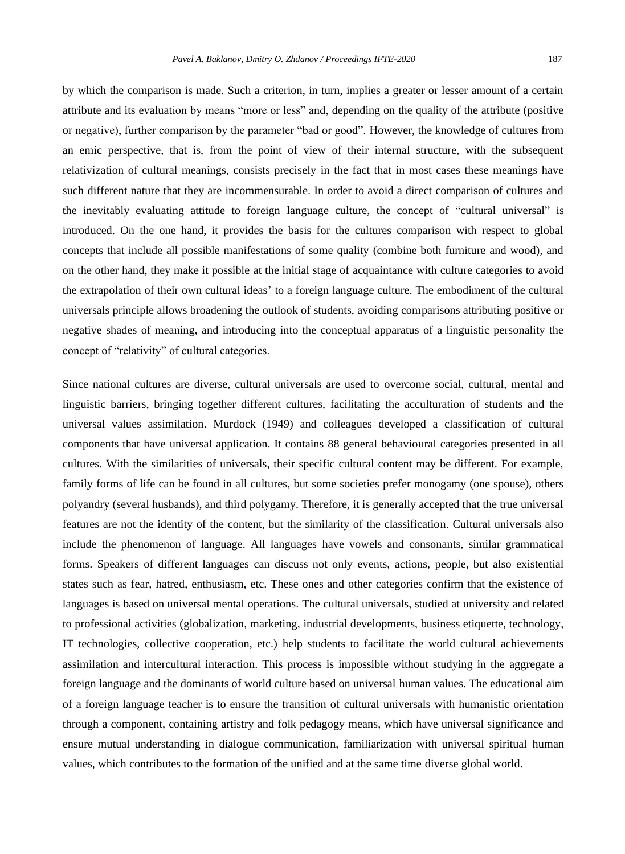by which the comparison is made. Such a criterion, in turn, implies a greater or lesser amount of a certain attribute and its evaluation by means "more or less" and, depending on the quality of the attribute (positive or negative), further comparison by the parameter "bad or good". However, the knowledge of cultures from an emic perspective, that is, from the point of view of their internal structure, with the subsequent relativization of cultural meanings, consists precisely in the fact that in most cases these meanings have such different nature that they are incommensurable. In order to avoid a direct comparison of cultures and the inevitably evaluating attitude to foreign language culture, the concept of "cultural universal" is introduced. On the one hand, it provides the basis for the cultures comparison with respect to global concepts that include all possible manifestations of some quality (combine both furniture and wood), and on the other hand, they make it possible at the initial stage of acquaintance with culture categories to avoid the extrapolation of their own cultural ideas' to a foreign language culture. The embodiment of the cultural universals principle allows broadening the outlook of students, avoiding comparisons attributing positive or negative shades of meaning, and introducing into the conceptual apparatus of a linguistic personality the concept of "relativity" of cultural categories.

Since national cultures are diverse, cultural universals are used to overcome social, cultural, mental and linguistic barriers, bringing together different cultures, facilitating the acculturation of students and the universal values assimilation. Murdock (1949) and colleagues developed a classification of cultural components that have universal application. It contains 88 general behavioural categories presented in all cultures. With the similarities of universals, their specific cultural content may be different. For example, family forms of life can be found in all cultures, but some societies prefer monogamy (one spouse), others polyandry (several husbands), and third polygamy. Therefore, it is generally accepted that the true universal features are not the identity of the content, but the similarity of the classification. Cultural universals also include the phenomenon of language. All languages have vowels and consonants, similar grammatical forms. Speakers of different languages can discuss not only events, actions, people, but also existential states such as fear, hatred, enthusiasm, etc. These ones and other categories confirm that the existence of languages is based on universal mental operations. The cultural universals, studied at university and related to professional activities (globalization, marketing, industrial developments, business etiquette, technology, IT technologies, collective cooperation, etc.) help students to facilitate the world cultural achievements assimilation and intercultural interaction. This process is impossible without studying in the aggregate a foreign language and the dominants of world culture based on universal human values. The educational aim of a foreign language teacher is to ensure the transition of cultural universals with humanistic orientation through a component, containing artistry and folk pedagogy means, which have universal significance and ensure mutual understanding in dialogue communication, familiarization with universal spiritual human values, which contributes to the formation of the unified and at the same time diverse global world.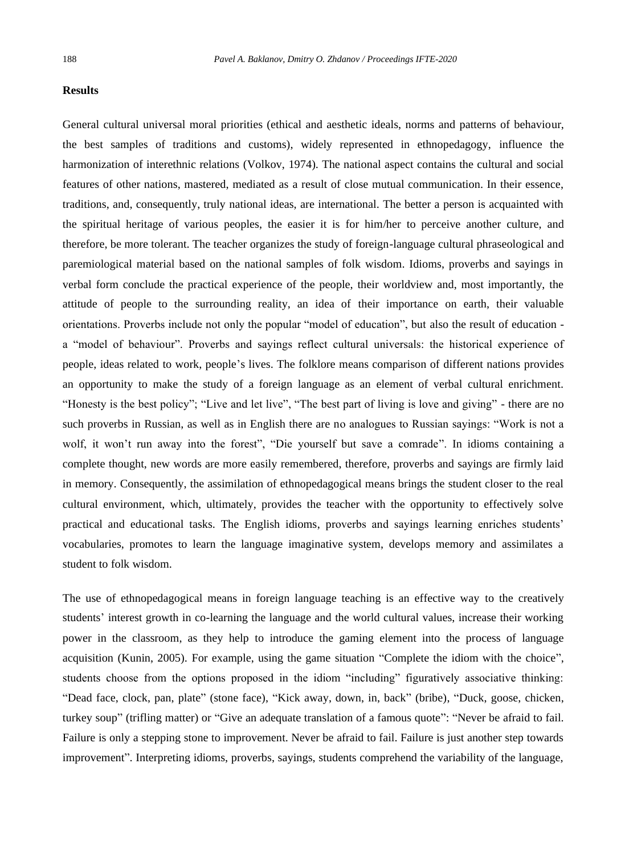#### **Results**

General cultural universal moral priorities (ethical and aesthetic ideals, norms and patterns of behaviour, the best samples of traditions and customs), widely represented in ethnopedagogy, influence the harmonization of interethnic relations (Volkov, 1974). The national aspect contains the cultural and social features of other nations, mastered, mediated as a result of close mutual communication. In their essence, traditions, and, consequently, truly national ideas, are international. The better a person is acquainted with the spiritual heritage of various peoples, the easier it is for him/her to perceive another culture, and therefore, be more tolerant. The teacher organizes the study of foreign-language cultural phraseological and paremiological material based on the national samples of folk wisdom. Idioms, proverbs and sayings in verbal form conclude the practical experience of the people, their worldview and, most importantly, the attitude of people to the surrounding reality, an idea of their importance on earth, their valuable orientations. Proverbs include not only the popular "model of education", but also the result of education a "model of behaviour". Proverbs and sayings reflect cultural universals: the historical experience of people, ideas related to work, people's lives. The folklore means comparison of different nations provides an opportunity to make the study of a foreign language as an element of verbal cultural enrichment. "Honesty is the best policy"; "Live and let live", "The best part of living is love and giving" - there are no such proverbs in Russian, as well as in English there are no analogues to Russian sayings: "Work is not a wolf, it won't run away into the forest", "Die yourself but save a comrade". In idioms containing a complete thought, new words are more easily remembered, therefore, proverbs and sayings are firmly laid in memory. Consequently, the assimilation of ethnopedagogical means brings the student closer to the real cultural environment, which, ultimately, provides the teacher with the opportunity to effectively solve practical and educational tasks. The English idioms, proverbs and sayings learning enriches students' vocabularies, promotes to learn the language imaginative system, develops memory and assimilates a student to folk wisdom.

The use of ethnopedagogical means in foreign language teaching is an effective way to the creatively students' interest growth in co-learning the language and the world cultural values, increase their working power in the classroom, as they help to introduce the gaming element into the process of language acquisition (Kunin, 2005). For example, using the game situation "Complete the idiom with the choice", students choose from the options proposed in the idiom "including" figuratively associative thinking: "Dead face, clock, pan, plate" (stone face), "Kick away, down, in, back" (bribe), "Duck, goose, chicken, turkey soup" (trifling matter) or "Give an adequate translation of a famous quote": "Never be afraid to fail. Failure is only a stepping stone to improvement. Never be afraid to fail. Failure is just another step towards improvement". Interpreting idioms, proverbs, sayings, students comprehend the variability of the language,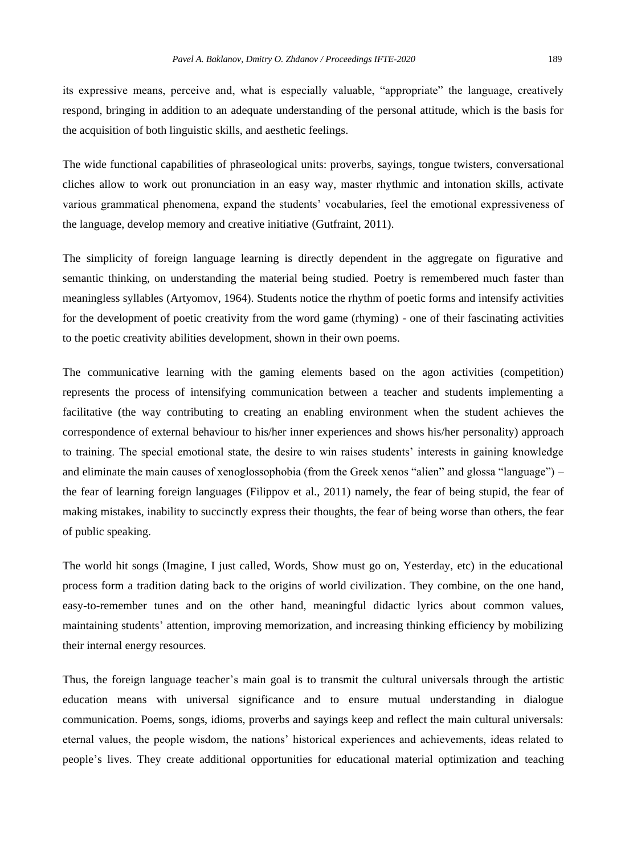its expressive means, perceive and, what is especially valuable, "appropriate" the language, creatively respond, bringing in addition to an adequate understanding of the personal attitude, which is the basis for the acquisition of both linguistic skills, and aesthetic feelings.

The wide functional capabilities of phraseological units: proverbs, sayings, tongue twisters, conversational cliches allow to work out pronunciation in an easy way, master rhythmic and intonation skills, activate various grammatical phenomena, expand the students' vocabularies, feel the emotional expressiveness of the language, develop memory and creative initiative (Gutfraint, 2011).

The simplicity of foreign language learning is directly dependent in the aggregate on figurative and semantic thinking, on understanding the material being studied. Poetry is remembered much faster than meaningless syllables (Artyomov, 1964). Students notice the rhythm of poetic forms and intensify activities for the development of poetic creativity from the word game (rhyming) - one of their fascinating activities to the poetic creativity abilities development, shown in their own poems.

The communicative learning with the gaming elements based on the agon activities (competition) represents the process of intensifying communication between a teacher and students implementing a facilitative (the way contributing to creating an enabling environment when the student achieves the correspondence of external behaviour to his/her inner experiences and shows his/her personality) approach to training. The special emotional state, the desire to win raises students' interests in gaining knowledge and eliminate the main causes of xenoglossophobia (from the Greek xenos "alien" and glossa "language") – the fear of learning foreign languages (Filippov et al., 2011) namely, the fear of being stupid, the fear of making mistakes, inability to succinctly express their thoughts, the fear of being worse than others, the fear of public speaking.

The world hit songs (Imagine, I just called, Words, Show must go on, Yesterday, etc) in the educational process form a tradition dating back to the origins of world civilization. They combine, on the one hand, easy-to-remember tunes and on the other hand, meaningful didactic lyrics about common values, maintaining students' attention, improving memorization, and increasing thinking efficiency by mobilizing their internal energy resources.

Thus, the foreign language teacher's main goal is to transmit the cultural universals through the artistic education means with universal significance and to ensure mutual understanding in dialogue communication. Poems, songs, idioms, proverbs and sayings keep and reflect the main cultural universals: eternal values, the people wisdom, the nations' historical experiences and achievements, ideas related to people's lives. They create additional opportunities for educational material optimization and teaching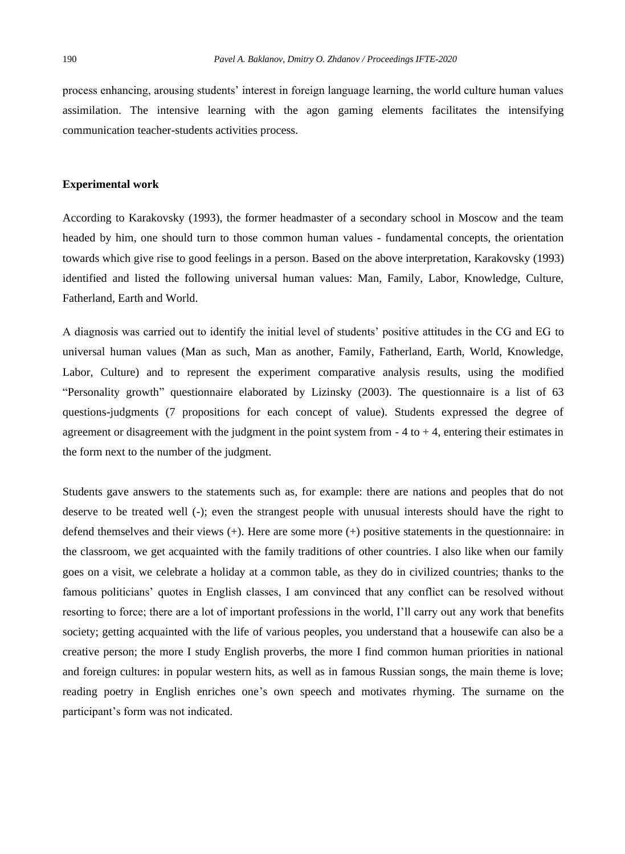process enhancing, arousing students' interest in foreign language learning, the world culture human values assimilation. The intensive learning with the agon gaming elements facilitates the intensifying communication teacher-students activities process.

#### **Experimental work**

According to Karakovsky (1993), the former headmaster of a secondary school in Moscow and the team headed by him, one should turn to those common human values - fundamental concepts, the orientation towards which give rise to good feelings in a person. Based on the above interpretation, Karakovsky (1993) identified and listed the following universal human values: Man, Family, Labor, Knowledge, Culture, Fatherland, Earth and World.

A diagnosis was carried out to identify the initial level of students' positive attitudes in the CG and EG to universal human values (Man as such, Man as another, Family, Fatherland, Earth, World, Knowledge, Labor, Culture) and to represent the experiment comparative analysis results, using the modified "Personality growth" questionnaire elaborated by Lizinsky (2003). The questionnaire is a list of 63 questions-judgments (7 propositions for each concept of value). Students expressed the degree of agreement or disagreement with the judgment in the point system from  $-4$  to  $+4$ , entering their estimates in the form next to the number of the judgment.

Students gave answers to the statements such as, for example: there are nations and peoples that do not deserve to be treated well (-); even the strangest people with unusual interests should have the right to defend themselves and their views (+). Here are some more (+) positive statements in the questionnaire: in the classroom, we get acquainted with the family traditions of other countries. I also like when our family goes on a visit, we celebrate a holiday at a common table, as they do in civilized countries; thanks to the famous politicians' quotes in English classes, I am convinced that any conflict can be resolved without resorting to force; there are a lot of important professions in the world, I'll carry out any work that benefits society; getting acquainted with the life of various peoples, you understand that a housewife can also be a creative person; the more I study English proverbs, the more I find common human priorities in national and foreign cultures: in popular western hits, as well as in famous Russian songs, the main theme is love; reading poetry in English enriches one's own speech and motivates rhyming. The surname on the participant's form was not indicated.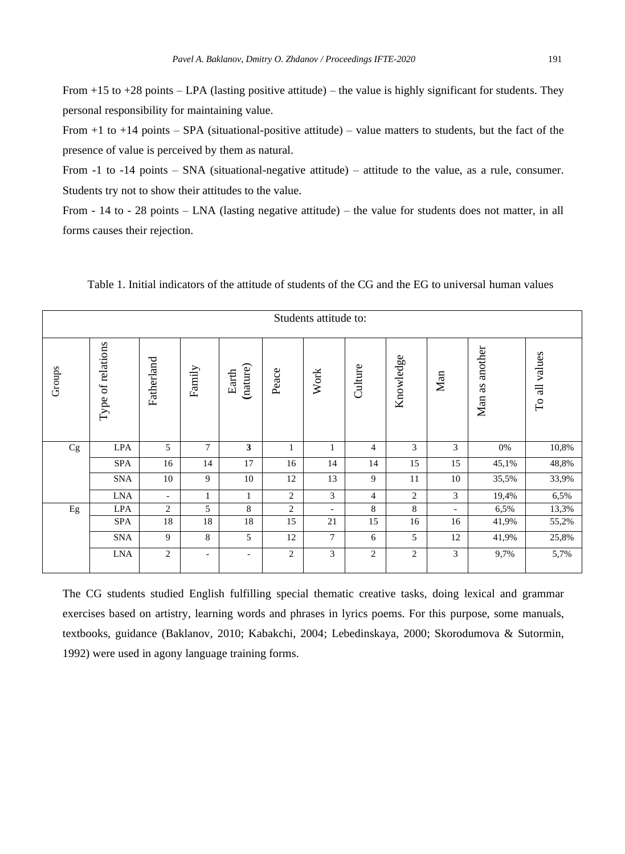From +15 to +28 points – LPA (lasting positive attitude) – the value is highly significant for students. They personal responsibility for maintaining value.

From  $+1$  to  $+14$  points – SPA (situational-positive attitude) – value matters to students, but the fact of the presence of value is perceived by them as natural.

From -1 to -14 points – SNA (situational-negative attitude) – attitude to the value, as a rule, consumer. Students try not to show their attitudes to the value.

From - 14 to - 28 points – LNA (lasting negative attitude) – the value for students does not matter, in all forms causes their rejection.

| Students attitude to: |                   |                |                          |                              |                |      |                |              |     |                      |                                   |
|-----------------------|-------------------|----------------|--------------------------|------------------------------|----------------|------|----------------|--------------|-----|----------------------|-----------------------------------|
| Groups                | Type of relations | Fatherland     | Family                   | (nature)<br>Earth            | Peace          | Work | Culture        | Knowledge    | Man | another<br>as<br>Man | values<br>$\exists$<br>$\Gamma$ o |
| Cg                    | <b>LPA</b>        | 5              | 7                        | 3                            | $\mathbf{1}$   | 1    | $\overline{4}$ | 3            | 3   | 0%                   | 10,8%                             |
|                       | <b>SPA</b>        | 16             | 14                       | 17                           | 16             | 14   | 14             | 15           | 15  | 45,1%                | 48,8%                             |
|                       | <b>SNA</b>        | 10             | 9                        | 10                           | 12             | 13   | 9              | 11           | 10  | 35,5%                | 33,9%                             |
|                       | <b>LNA</b>        | ٠              | 1                        | $\mathbf{1}$                 | $\overline{2}$ | 3    | $\overline{4}$ | 2            | 3   | 19,4%                | 6,5%                              |
| Eg                    | <b>LPA</b>        | $\overline{2}$ | 5                        | 8                            | $\overline{2}$ | ٠    | 8              | 8            | ٠   | 6,5%                 | 13,3%                             |
|                       | <b>SPA</b>        | 18             | 18                       | 18                           | 15             | 21   | 15             | 16           | 16  | 41,9%                | 55,2%                             |
|                       | <b>SNA</b>        | $\mathbf{Q}$   | 8                        | 5                            | 12             | 7    | 6              | 5            | 12  | 41,9%                | 25,8%                             |
|                       | <b>LNA</b>        | 2              | $\overline{\phantom{a}}$ | $\qquad \qquad \blacksquare$ | $\mathfrak{2}$ | 3    | $\overline{c}$ | $\mathbf{2}$ | 3   | 9,7%                 | 5,7%                              |

Table 1. Initial indicators of the attitude of students of the CG and the EG to universal human values

The CG students studied English fulfilling special thematic creative tasks, doing lexical and grammar exercises based on artistry, learning words and phrases in lyrics poems. For this purpose, some manuals, textbooks, guidance (Baklanov, 2010; Kabakchi, 2004; Lebedinskaya, 2000; Skorodumova & Sutormin, 1992) were used in agony language training forms.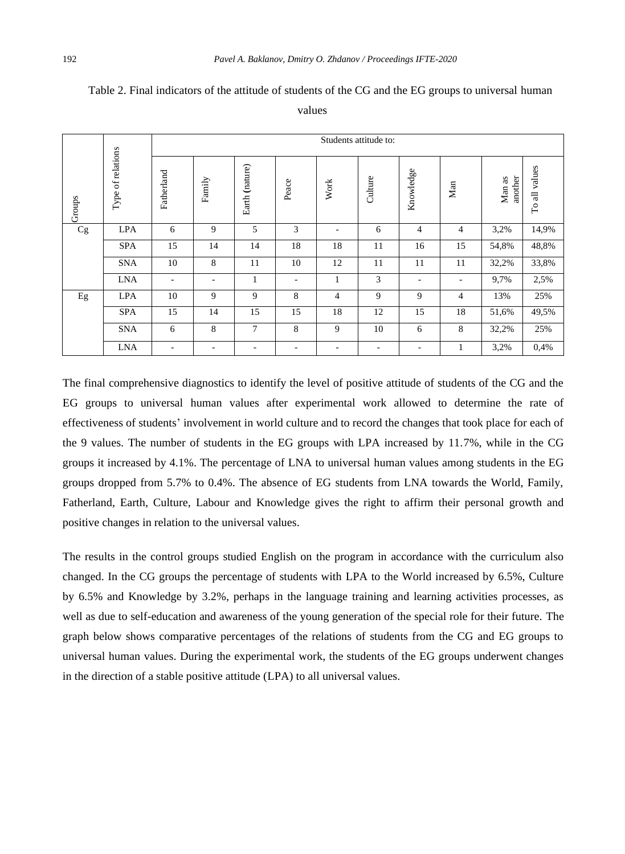|        | Type of relations | Students attitude to: |        |                |                          |                |                          |                          |                          |                   |               |
|--------|-------------------|-----------------------|--------|----------------|--------------------------|----------------|--------------------------|--------------------------|--------------------------|-------------------|---------------|
| Groups |                   | Fatherland            | Family | Earth (nature) | Peace                    | Work           | Culture                  | Knowledge                | $\mathop{\mathsf{Man}}$  | another<br>Man as | To all values |
| Cg     | <b>LPA</b>        | 6                     | 9      | 5              | 3                        |                | 6                        | $\overline{4}$           | 4                        | 3,2%              | 14,9%         |
|        | <b>SPA</b>        | 15                    | 14     | 14             | 18                       | 18             | 11                       | 16                       | 15                       | 54,8%             | 48,8%         |
|        | <b>SNA</b>        | 10                    | 8      | 11             | 10                       | 12             | 11                       | 11                       | 11                       | 32,2%             | 33,8%         |
|        | <b>LNA</b>        | ٠                     | -      | 1              | $\overline{\phantom{a}}$ | 1              | 3                        | $\overline{\phantom{a}}$ | $\overline{\phantom{a}}$ | 9,7%              | 2,5%          |
| Eg     | <b>LPA</b>        | 10                    | 9      | 9              | 8                        | $\overline{4}$ | 9                        | 9                        | $\overline{4}$           | 13%               | 25%           |
|        | <b>SPA</b>        | 15                    | 14     | 15             | 15                       | 18             | 12                       | 15                       | 18                       | 51,6%             | 49,5%         |
|        | <b>SNA</b>        | 6                     | 8      | 7              | 8                        | 9              | 10                       | 6                        | 8                        | 32,2%             | 25%           |
|        | <b>LNA</b>        | ۰.                    | ٠      | ۰              | ٠                        | ٠              | $\overline{\phantom{a}}$ | $\overline{\phantom{a}}$ | 1                        | 3,2%              | 0,4%          |

## Table 2. Final indicators of the attitude of students of the CG and the EG groups to universal human

values

The final comprehensive diagnostics to identify the level of positive attitude of students of the CG and the EG groups to universal human values after experimental work allowed to determine the rate of effectiveness of students' involvement in world culture and to record the changes that took place for each of the 9 values. The number of students in the EG groups with LPA increased by 11.7%, while in the CG groups it increased by 4.1%. The percentage of LNA to universal human values among students in the EG groups dropped from 5.7% to 0.4%. The absence of EG students from LNA towards the World, Family, Fatherland, Earth, Culture, Labour and Knowledge gives the right to affirm their personal growth and positive changes in relation to the universal values.

The results in the control groups studied English on the program in accordance with the curriculum also changed. In the CG groups the percentage of students with LPA to the World increased by 6.5%, Culture by 6.5% and Knowledge by 3.2%, perhaps in the language training and learning activities processes, as well as due to self-education and awareness of the young generation of the special role for their future. The graph below shows comparative percentages of the relations of students from the CG and EG groups to universal human values. During the experimental work, the students of the EG groups underwent changes in the direction of a stable positive attitude (LPA) to all universal values.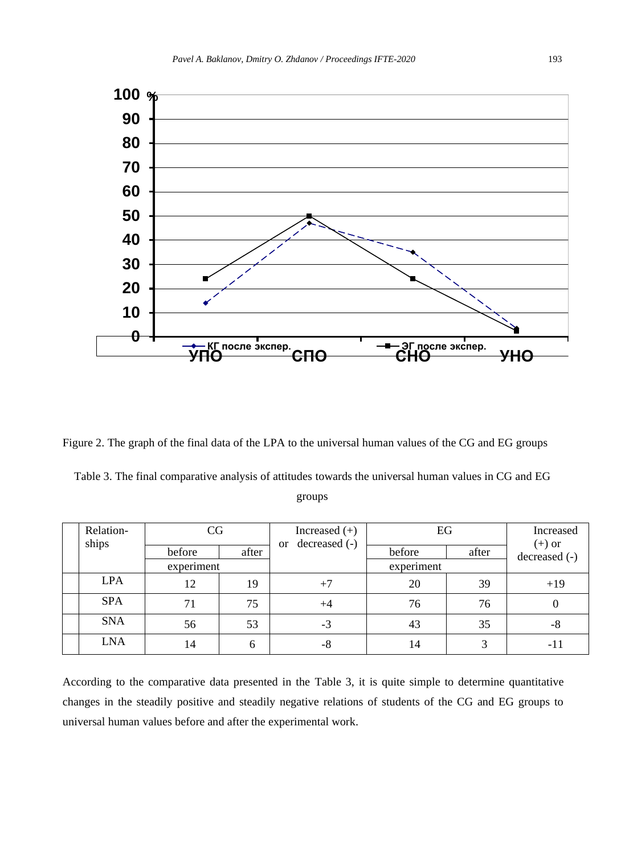

Figure 2. The graph of the final data of the LPA to the universal human values of the CG and EG groups

Table 3. The final comparative analysis of attitudes towards the universal human values in CG and EG groups

| Relation-<br>ships | CG         |       | Increased $(+)$<br>decreased (-)<br><sub>or</sub> | EG         |       | Increased<br>$(+)$ or |  |
|--------------------|------------|-------|---------------------------------------------------|------------|-------|-----------------------|--|
|                    | before     | after |                                                   | before     | after | decreased (-)         |  |
|                    | experiment |       |                                                   | experiment |       |                       |  |
| <b>LPA</b>         | 12         | 19    | $+7$                                              | 20         | 39    | $+19$                 |  |
| <b>SPA</b>         | 71         | 75    | $+4$                                              | 76         | 76    |                       |  |
| <b>SNA</b>         | 56         | 53    | $-3$                                              | 43         | 35    | -8                    |  |
| <b>LNA</b>         | 14         | 6     | -8                                                | 14         | 3     | -11                   |  |

According to the comparative data presented in the Table 3, it is quite simple to determine quantitative changes in the steadily positive and steadily negative relations of students of the CG and EG groups to universal human values before and after the experimental work.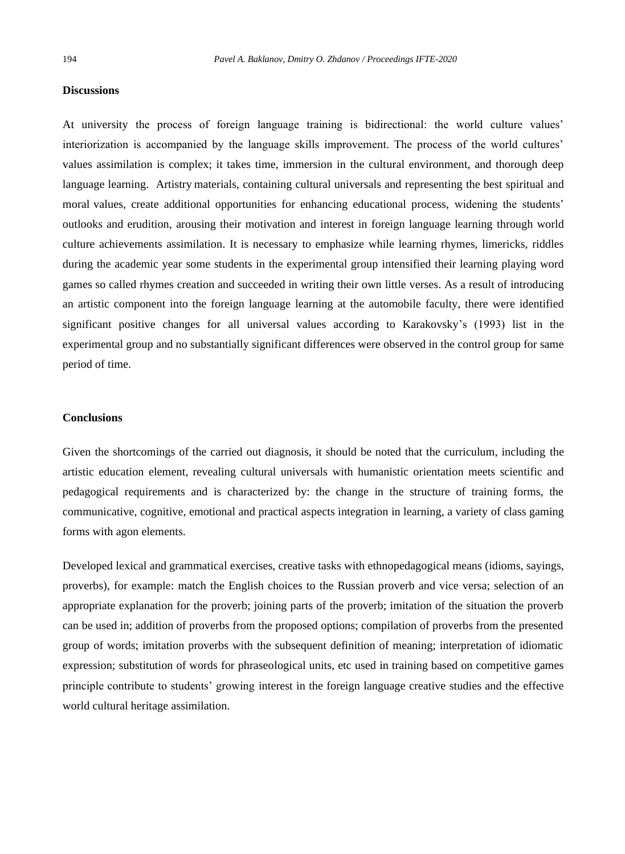#### **Discussions**

At university the process of foreign language training is bidirectional: the world culture values' interiorization is accompanied by the language skills improvement. The process of the world cultures' values assimilation is complex; it takes time, immersion in the cultural environment, and thorough deep language learning. Artistry materials, containing cultural universals and representing the best spiritual and moral values, create additional opportunities for enhancing educational process, widening the students' outlooks and erudition, arousing their motivation and interest in foreign language learning through world culture achievements assimilation. It is necessary to emphasize while learning rhymes, limericks, riddles during the academic year some students in the experimental group intensified their learning playing word games so called rhymes creation and succeeded in writing their own little verses. As a result of introducing an artistic component into the foreign language learning at the automobile faculty, there were identified significant positive changes for all universal values according to Karakovsky's (1993) list in the experimental group and no substantially significant differences were observed in the control group for same period of time.

#### **Conclusions**

Given the shortcomings of the carried out diagnosis, it should be noted that the curriculum, including the artistic education element, revealing cultural universals with humanistic orientation meets scientific and pedagogical requirements and is characterized by: the change in the structure of training forms, the communicative, cognitive, emotional and practical aspects integration in learning, a variety of class gaming forms with agon elements.

Developed lexical and grammatical exercises, creative tasks with ethnopedagogical means (idioms, sayings, proverbs), for example: match the English choices to the Russian proverb and vice versa; selection of an appropriate explanation for the proverb; joining parts of the proverb; imitation of the situation the proverb can be used in; addition of proverbs from the proposed options; compilation of proverbs from the presented group of words; imitation proverbs with the subsequent definition of meaning; interpretation of idiomatic expression; substitution of words for phraseological units, etc used in training based on competitive games principle contribute to students' growing interest in the foreign language creative studies and the effective world cultural heritage assimilation.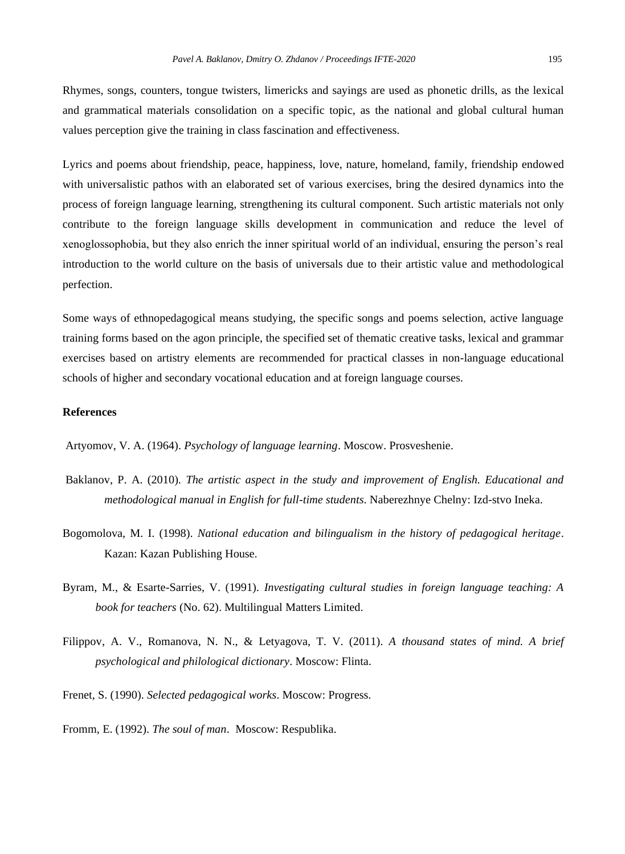Rhymes, songs, counters, tongue twisters, limericks and sayings are used as phonetic drills, as the lexical and grammatical materials consolidation on a specific topic, as the national and global cultural human values perception give the training in class fascination and effectiveness.

Lyrics and poems about friendship, peace, happiness, love, nature, homeland, family, friendship endowed with universalistic pathos with an elaborated set of various exercises, bring the desired dynamics into the process of foreign language learning, strengthening its cultural component. Such artistic materials not only contribute to the foreign language skills development in communication and reduce the level of xenoglossophobia, but they also enrich the inner spiritual world of an individual, ensuring the person's real introduction to the world culture on the basis of universals due to their artistic value and methodological perfection.

Some ways of ethnopedagogical means studying, the specific songs and poems selection, active language training forms based on the agon principle, the specified set of thematic creative tasks, lexical and grammar exercises based on artistry elements are recommended for practical classes in non-language educational schools of higher and secondary vocational education and at foreign language courses.

### **References**

Artyomov, V. A. (1964). *Psychology of language learning*. Moscow. Prosveshenie.

- Baklanov, P. A. (2010). *The artistic aspect in the study and improvement of English. Educational and methodological manual in English for full-time students*. Naberezhnye Chelny: Izd-stvo Ineka.
- Bogomolova, M. I. (1998). *National education and bilingualism in the history of pedagogical heritage*. Kazan: Kazan Publishing House.
- Byram, M., & Esarte-Sarries, V. (1991). *Investigating cultural studies in foreign language teaching: A book for teachers* (No. 62). Multilingual Matters Limited.
- Filippov, A. V., Romanova, N. N., & Letyagova, T. V. (2011). *A thousand states of mind. A brief psychological and philological dictionary*. Moscow: Flinta.
- Frenet, S. (1990). *Selected pedagogical works*. Moscow: Progress.
- Fromm, E. (1992). *The soul of man*. Moscow: Respublika.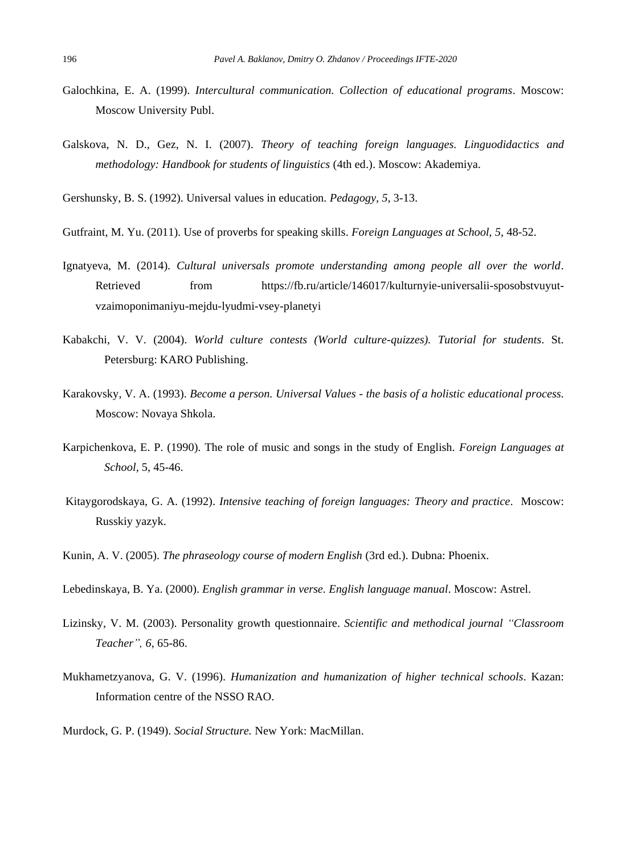- Galochkina, E. A. (1999). *Intercultural communication. Collection of educational programs*. Moscow: Moscow University Publ.
- Galskova, N. D., Gez, N. I. (2007). *Theory of teaching foreign languages. Linguodidactics and methodology: Handbook for students of linguistics* (4th ed.). Moscow: Akademiya.

Gershunsky, B. S. (1992). Universal values in education*. Pedagogy, 5*, 3-13.

Gutfraint, M. Yu. (2011). Use of proverbs for speaking skills. *Foreign Languages at School, 5*, 48-52.

- Ignatyeva, M. (2014). *Cultural universals promote understanding among people all over the world*. Retrieved from https://fb.ru/article/146017/kulturnyie-universalii-sposobstvuyutvzaimoponimaniyu-mejdu-lyudmi-vsey-planetyi
- Kabakchi, V. V. (2004). *World culture contests (World culture-quizzes). Tutorial for students*. St. Petersburg: KARO Publishing.
- Karakovsky, V. A. (1993). *Become a person. Universal Values - the basis of a holistic educational process*. Moscow: Novaya Shkola.
- Karpichenkova, E. P. (1990). The role of music and songs in the study of English. *Foreign Languages at School,* 5, 45-46.
- Kitaygorodskaya, G. A. (1992). *Intensive teaching of foreign languages: Theory and practice*. Moscow: Russkiy yazyk.
- Kunin, A. V. (2005). *The phraseology course of modern English* (3rd ed.). Dubna: Phoenix.

Lebedinskaya, B. Ya. (2000). *English grammar in verse. English language manual*. Moscow: Astrel.

- Lizinsky, V. M. (2003). Personality growth questionnaire. *Scientific and methodical journal "Classroom Teacher", 6*, 65-86.
- Mukhametzyanova, G. V. (1996). *Humanization and humanization of higher technical schools*. Kazan: Information centre of the NSSO RAO.
- Murdock, G. P. (1949). *Social Structure.* New York: MacMillan.